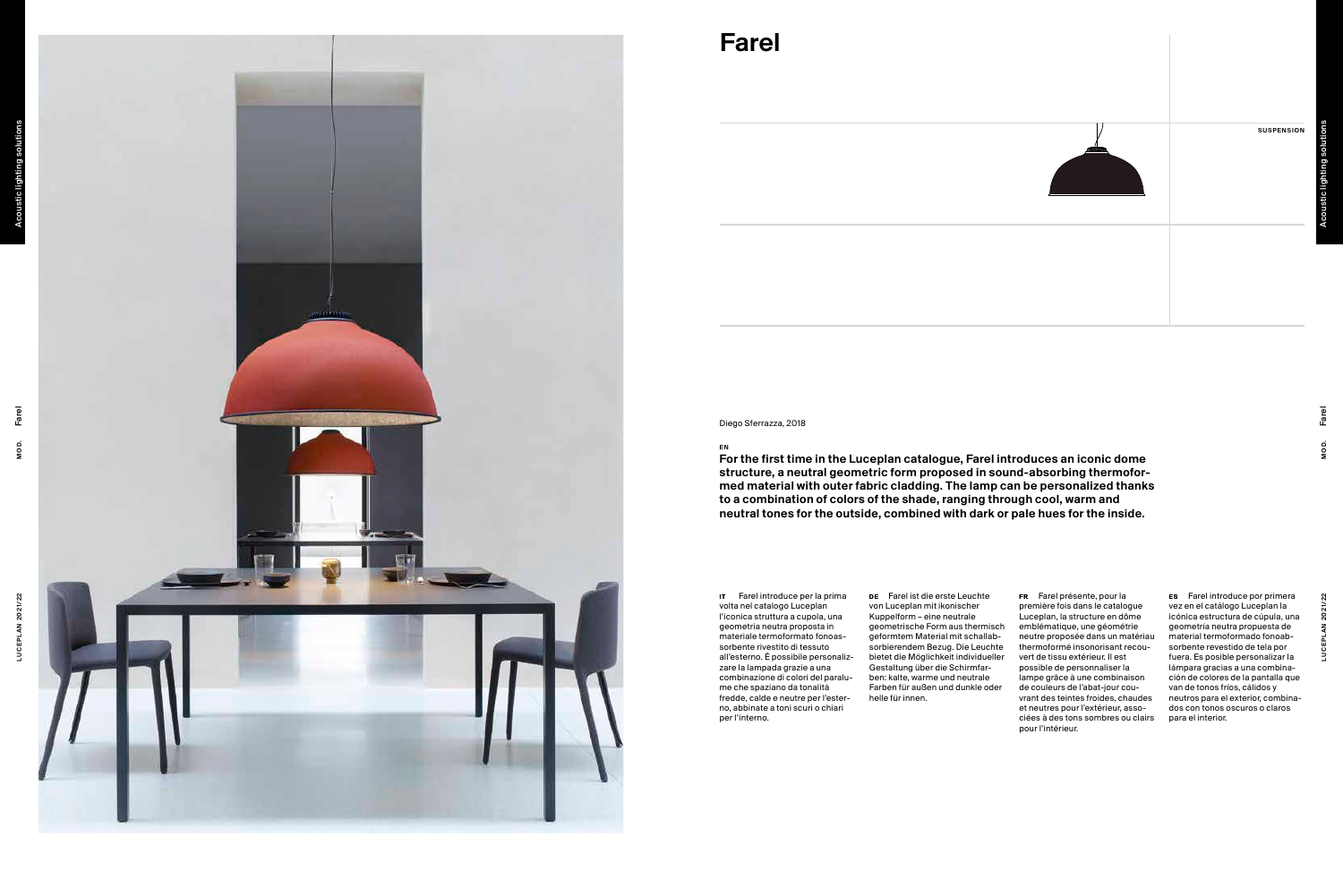SUSPENSION



# Farel

 $\frac{EN}{N}$  For the first time in the Luceplan catalogue, Farel introduces an iconic dome structure, a neutral geometric form proposed in sound-absorbing thermofor med material with outer fabric cladding. The lamp can be personalized thanks to a combination of colors of the shade, ranging through cool, warm and neutral tones for the outside, combined with dark or pale hues for the inside.

Diego Sferrazza, 2018

IT Farel introduce per la prima be Farel ist die erste Leuchte bier Farel présente, pour la bier FR Farel présente, pour la première fois dans le catalogue Luceplan, la structure en dôme emblématique, une géométrie neutre proposée dans un matériau thermoformé insonorisant recou vert de tissu extérieur. Il est possible de personnaliser la lampe grâce à une combinaison de couleurs de l'abat-jour cou vrant des teintes froides, chaudes et neutres pour l'extérieur, asso ciées à des tons sombres ou clairs pour l'intérieur.

Farel introduce por primera vez en el catálogo Luceplan la icónica estructura de cúpula, una geometría neutra propuesta de material termoformado fonoab sorbente revestido de tela por fuera. Es posible personalizar la lámpara gracias a una combina ción de colores de la pantalla que van de tonos fríos, cálidos y neutros para el exterior, combina dos con tonos oscuros o claros para el interior.

DE Farel ist die erste Leuchte von Luceplan mit ikonischer Kuppelform – eine neutrale geometrische Form aus thermisch geformtem Material mit schallab sorbierendem Bezug. Die Leuchte bietet die Möglichkeit individueller Gestaltung über die Schirmfar ben: kalte, warme und neutrale Farben für außen und dunkle oder helle für innen.

volta nel catalogo Luceplan l'iconica struttura a cupola, una geometria neutra proposta in materiale termoformato fonoas sorbente rivestito di tessuto all'esterno. È possibile personaliz zare la lampada grazie a una combinazione di colori del paralu me che spaziano da tonalità fredde, calde e neutre per l'ester no, abbinate a toni scuri o chiari per l'interno.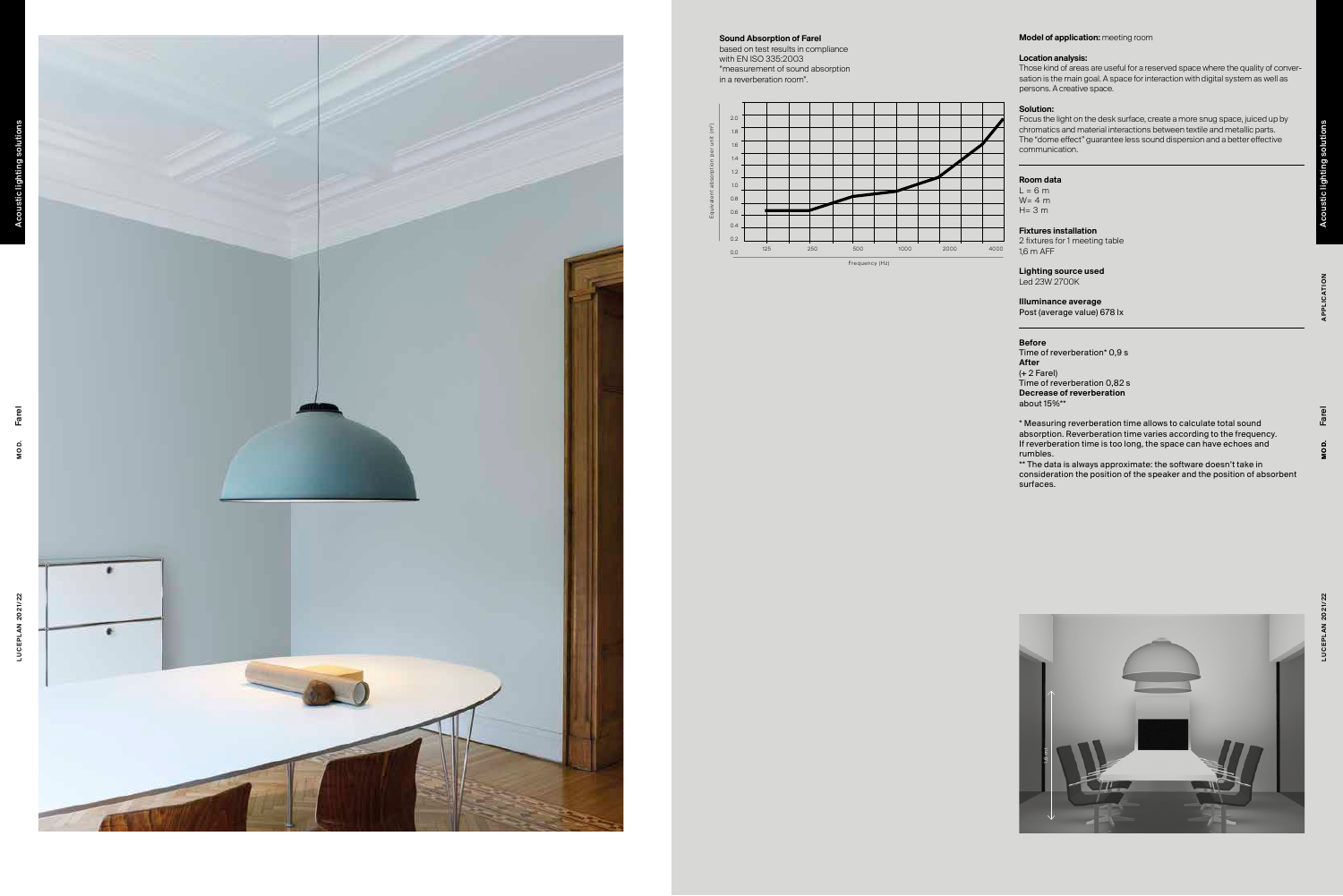### Location analysis:

Those kind of areas are useful for a reserved space where the quality of conver sation is the main goal. A space for interaction with digital system as well as persons. A creative space.

Model of application: meeting room<br>
Location analysis:<br>
Location analysis:<br>
Location and dramas are useful for a reserved space where the quality of conver-<br>
solution:<br>
Solution: The temation and a based of interactions wi Focus the light on the desk surface, create a more snug space, juiced up by chromatics and material interactions between textile and metallic parts. The "dome effect" guarantee less sound dispersion and a better effective communication.

### Solution:

### Room data

 $L = 6 m$  $W= 4 m$  $H = 3 m$ 

\*\* The data is always approximate: the software doesn't take in consideration the position of the speaker and the position of absorbent surfaces.

### Fixtures installation



2 fixtures for 1 meeting table 1,6 m AFF

### Lighting source used Led 23W 2700K

Illuminance average Post (average value) 678 lx

## Before

Time of reverberation\* 0,9 s After (+ 2 Farel) Time of reverberation 0,82 s Decrease of reverberation about 15%\*\*

\* Measuring reverberation time allows to calculate total sound absorption. Reverberation time varies according to the frequency. If reverberation time is too long, the space can have echoes and rumbles.





Sound Absorption of Farel

based on test results in compliance with EN ISO 335:2003 "measurement of sound absorption in a reverberation room".

Acoustic lighting solutions

**ustic lighting** 

# Acoustic lighting solutions